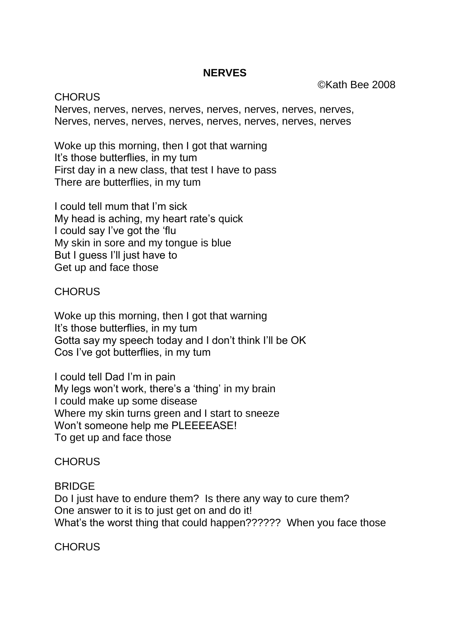## **NERVES**

©Kath Bee 2008

**CHORUS** Nerves, nerves, nerves, nerves, nerves, nerves, nerves, nerves, Nerves, nerves, nerves, nerves, nerves, nerves, nerves, nerves

Woke up this morning, then I got that warning It's those butterflies, in my tum First day in a new class, that test I have to pass There are butterflies, in my tum

I could tell mum that I'm sick My head is aching, my heart rate's quick I could say I've got the 'flu My skin in sore and my tongue is blue But I guess I'll just have to Get up and face those

## **CHORUS**

Woke up this morning, then I got that warning It's those butterflies, in my tum Gotta say my speech today and I don't think I'll be OK Cos I've got butterflies, in my tum

I could tell Dad I'm in pain My legs won't work, there's a 'thing' in my brain I could make up some disease Where my skin turns green and I start to sneeze Won't someone help me PLEEEEASE! To get up and face those

## **CHORUS**

## **BRIDGE**

Do I just have to endure them? Is there any way to cure them? One answer to it is to just get on and do it! What's the worst thing that could happen?????? When you face those

**CHORUS**